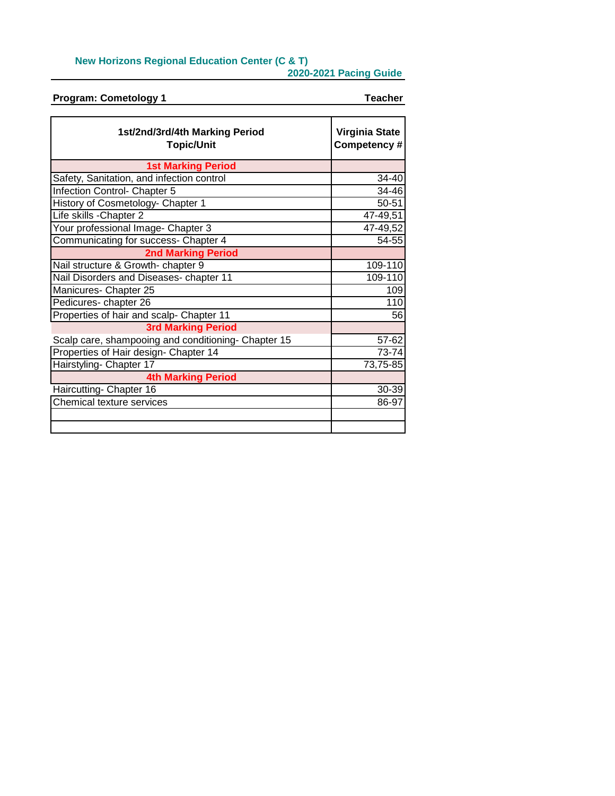## **New Horizons Regional Education Center (C & T)**

**2020-2021 Pacing Guide**

| <b>Program: Cometology 1</b>                        | <b>Teacher</b>                       |
|-----------------------------------------------------|--------------------------------------|
|                                                     |                                      |
| 1st/2nd/3rd/4th Marking Period<br><b>Topic/Unit</b> | <b>Virginia State</b><br>Competency# |
| <b>1st Marking Period</b>                           |                                      |
| Safety, Sanitation, and infection control           | 34-40                                |
| Infection Control- Chapter 5                        | 34-46                                |
| History of Cosmetology- Chapter 1                   | 50-51                                |
| Life skills - Chapter 2                             | 47-49,51                             |
| Your professional Image- Chapter 3                  | 47-49,52                             |
| Communicating for success- Chapter 4                | 54-55                                |
| <b>2nd Marking Period</b>                           |                                      |
| Nail structure & Growth- chapter 9                  | 109-110                              |
| Nail Disorders and Diseases- chapter 11             | 109-110                              |
| Manicures- Chapter 25                               | 109                                  |
| Pedicures-chapter 26                                | 110                                  |
| Properties of hair and scalp- Chapter 11            | 56                                   |
| <b>3rd Marking Period</b>                           |                                      |
| Scalp care, shampooing and conditioning- Chapter 15 | 57-62                                |
| Properties of Hair design- Chapter 14               | 73-74                                |
| Hairstyling- Chapter 17                             | $\overline{73}$ , 75-85              |
| <b>4th Marking Period</b>                           |                                      |
| Haircutting- Chapter 16                             | 30-39                                |
| Chemical texture services                           | 86-97                                |
|                                                     |                                      |
|                                                     |                                      |